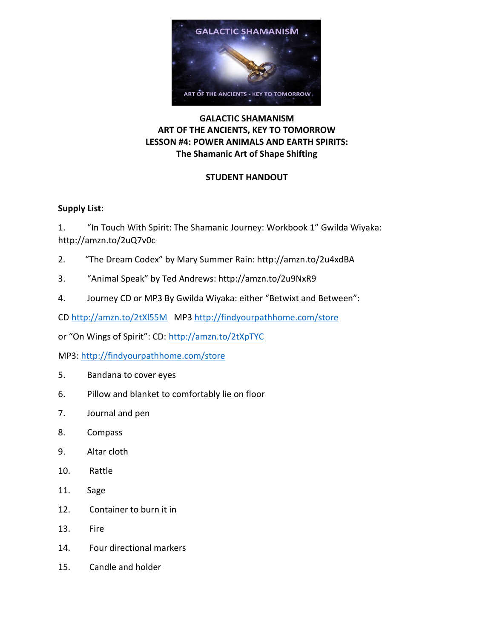

# **GALACTIC SHAMANISM ART OF THE ANCIENTS, KEY TO TOMORROW LESSON #4: POWER ANIMALS AND EARTH SPIRITS: The Shamanic Art of Shape Shifting**

# **STUDENT HANDOUT**

### **Supply List:**

1. "In Touch With Spirit: The Shamanic Journey: Workbook 1" Gwilda Wiyaka: http://amzn.to/2uQ7v0c

- 2. "The Dream Codex" by Mary Summer Rain: http://amzn.to/2u4xdBA
- 3. "Animal Speak" by Ted Andrews: http://amzn.to/2u9NxR9
- 4. Journey CD or MP3 By Gwilda Wiyaka: either "Betwixt and Between":

CD <http://amzn.to/2tXl55M> MP3<http://findyourpathhome.com/store>

or "On Wings of Spirit": CD: <http://amzn.to/2tXpTYC>

MP3: <http://findyourpathhome.com/store>

- 5. Bandana to cover eyes
- 6. Pillow and blanket to comfortably lie on floor
- 7. Journal and pen
- 8. Compass
- 9. Altar cloth
- 10. Rattle
- 11. Sage
- 12. Container to burn it in
- 13. Fire
- 14. Four directional markers
- 15. Candle and holder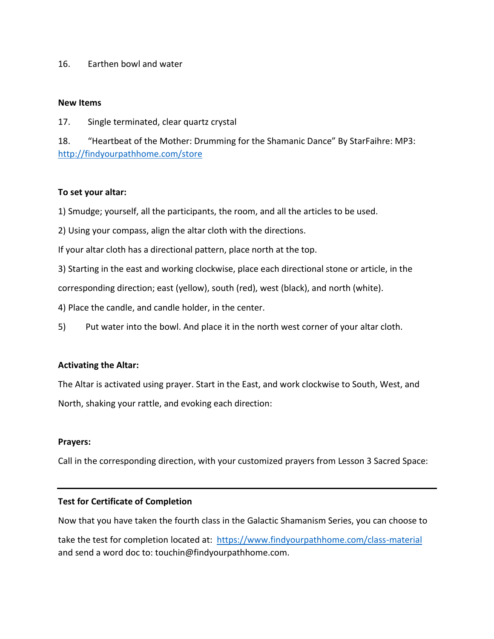### 16. Earthen bowl and water

#### **New Items**

17. Single terminated, clear quartz crystal

18. "Heartbeat of the Mother: Drumming for the Shamanic Dance" By StarFaihre: MP3: <http://findyourpathhome.com/store>

### **To set your altar:**

1) Smudge; yourself, all the participants, the room, and all the articles to be used.

2) Using your compass, align the altar cloth with the directions.

If your altar cloth has a directional pattern, place north at the top.

3) Starting in the east and working clockwise, place each directional stone or article, in the

corresponding direction; east (yellow), south (red), west (black), and north (white).

4) Place the candle, and candle holder, in the center.

5) Put water into the bowl. And place it in the north west corner of your altar cloth.

### **Activating the Altar:**

The Altar is activated using prayer. Start in the East, and work clockwise to South, West, and North, shaking your rattle, and evoking each direction:

### **Prayers:**

Call in the corresponding direction, with your customized prayers from Lesson 3 Sacred Space:

### **Test for Certificate of Completion**

Now that you have taken the fourth class in the Galactic Shamanism Series, you can choose to

take the test for completion located at:<https://www.findyourpathhome.com/class-material> and send a word doc to: touchin@findyourpathhome.com.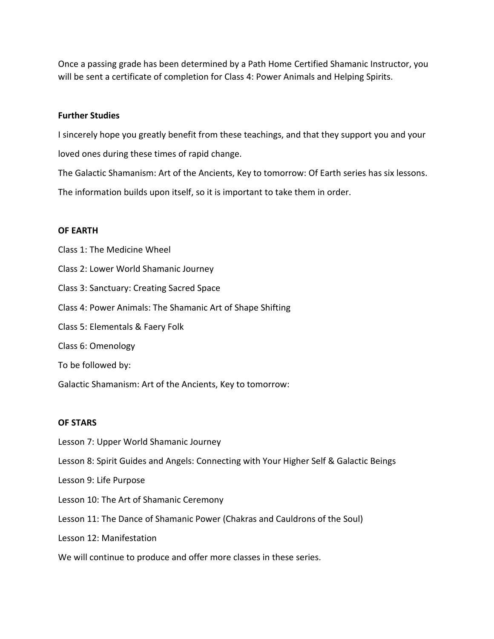Once a passing grade has been determined by a Path Home Certified Shamanic Instructor, you will be sent a certificate of completion for Class 4: Power Animals and Helping Spirits.

#### **Further Studies**

I sincerely hope you greatly benefit from these teachings, and that they support you and your loved ones during these times of rapid change.

The Galactic Shamanism: Art of the Ancients, Key to tomorrow: Of Earth series has six lessons.

The information builds upon itself, so it is important to take them in order.

#### **OF EARTH**

Class 1: The Medicine Wheel Class 2: Lower World Shamanic Journey Class 3: Sanctuary: Creating Sacred Space Class 4: Power Animals: The Shamanic Art of Shape Shifting Class 5: Elementals & Faery Folk Class 6: Omenology To be followed by: Galactic Shamanism: Art of the Ancients, Key to tomorrow:

### **OF STARS**

Lesson 7: Upper World Shamanic Journey Lesson 8: Spirit Guides and Angels: Connecting with Your Higher Self & Galactic Beings Lesson 9: Life Purpose Lesson 10: The Art of Shamanic Ceremony Lesson 11: The Dance of Shamanic Power (Chakras and Cauldrons of the Soul) Lesson 12: Manifestation We will continue to produce and offer more classes in these series.